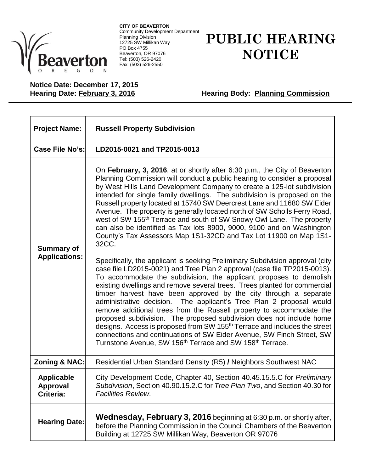

**CITY OF BEAVERTON** Community Development Department Planning Division 12725 SW Millikan Way PO Box 4755 Beaverton, OR 97076 Tel: (503) 526-2420 Fax: (503) 526-2550

## **PUBLIC HEARING NOTICE**

**Notice Date: December 17, 2015**

**Hearing Body: Planning Commission** 

| <b>Project Name:</b>                              | <b>Russell Property Subdivision</b>                                                                                                                                                                                                                                                                                                                                                                                                                                                                                                                                                                                                                                                                                                                                                                                                                                                                                                                                                                                                                                                                                                                                                                                                                                                                                                                                                                                                                                                                                                                                              |
|---------------------------------------------------|----------------------------------------------------------------------------------------------------------------------------------------------------------------------------------------------------------------------------------------------------------------------------------------------------------------------------------------------------------------------------------------------------------------------------------------------------------------------------------------------------------------------------------------------------------------------------------------------------------------------------------------------------------------------------------------------------------------------------------------------------------------------------------------------------------------------------------------------------------------------------------------------------------------------------------------------------------------------------------------------------------------------------------------------------------------------------------------------------------------------------------------------------------------------------------------------------------------------------------------------------------------------------------------------------------------------------------------------------------------------------------------------------------------------------------------------------------------------------------------------------------------------------------------------------------------------------------|
| Case File No's:                                   | LD2015-0021 and TP2015-0013                                                                                                                                                                                                                                                                                                                                                                                                                                                                                                                                                                                                                                                                                                                                                                                                                                                                                                                                                                                                                                                                                                                                                                                                                                                                                                                                                                                                                                                                                                                                                      |
| <b>Summary of</b><br><b>Applications:</b>         | On February, 3, 2016, at or shortly after 6:30 p.m., the City of Beaverton<br>Planning Commission will conduct a public hearing to consider a proposal<br>by West Hills Land Development Company to create a 125-lot subdivision<br>intended for single family dwellings. The subdivision is proposed on the<br>Russell property located at 15740 SW Deercrest Lane and 11680 SW Eider<br>Avenue. The property is generally located north of SW Scholls Ferry Road,<br>west of SW 155 <sup>th</sup> Terrace and south of SW Snowy Owl Lane. The property<br>can also be identified as Tax lots 8900, 9000, 9100 and on Washington<br>County's Tax Assessors Map 1S1-32CD and Tax Lot 11900 on Map 1S1-<br>32CC.<br>Specifically, the applicant is seeking Preliminary Subdivision approval (city<br>case file LD2015-0021) and Tree Plan 2 approval (case file TP2015-0013).<br>To accommodate the subdivision, the applicant proposes to demolish<br>existing dwellings and remove several trees. Trees planted for commercial<br>timber harvest have been approved by the city through a separate<br>administrative decision. The applicant's Tree Plan 2 proposal would<br>remove additional trees from the Russell property to accommodate the<br>proposed subdivision. The proposed subdivision does not include home<br>designs. Access is proposed from SW 155 <sup>th</sup> Terrace and includes the street<br>connections and continuations of SW Eider Avenue, SW Finch Street, SW<br>Turnstone Avenue, SW 156 <sup>th</sup> Terrace and SW 158 <sup>th</sup> Terrace. |
| Zoning & NAC:                                     | Residential Urban Standard Density (R5) / Neighbors Southwest NAC                                                                                                                                                                                                                                                                                                                                                                                                                                                                                                                                                                                                                                                                                                                                                                                                                                                                                                                                                                                                                                                                                                                                                                                                                                                                                                                                                                                                                                                                                                                |
| <b>Applicable</b><br><b>Approval</b><br>Criteria: | City Development Code, Chapter 40, Section 40.45.15.5.C for Preliminary<br>Subdivision, Section 40.90.15.2.C for Tree Plan Two, and Section 40.30 for<br><b>Facilities Review.</b>                                                                                                                                                                                                                                                                                                                                                                                                                                                                                                                                                                                                                                                                                                                                                                                                                                                                                                                                                                                                                                                                                                                                                                                                                                                                                                                                                                                               |
| <b>Hearing Date:</b>                              | <b>Wednesday, February 3, 2016</b> beginning at 6:30 p.m. or shortly after,<br>before the Planning Commission in the Council Chambers of the Beaverton<br>Building at 12725 SW Millikan Way, Beaverton OR 97076                                                                                                                                                                                                                                                                                                                                                                                                                                                                                                                                                                                                                                                                                                                                                                                                                                                                                                                                                                                                                                                                                                                                                                                                                                                                                                                                                                  |